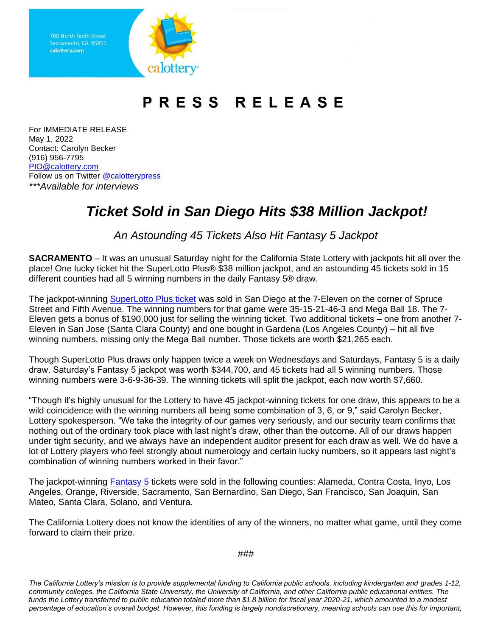Sacramento, CA 95811 calottery.com



## PRESS RELEASE

For IMMEDIATE RELEASE May 1, 2022 Contact: Carolyn Becker (916) 956-7795 [PIO@calottery.com](mailto:PIO@calottery.com) Follow us on Twitter [@calotterypress](https://twitter.com/calotterypress) *\*\*\*Available for interviews*

## *Ticket Sold in San Diego Hits \$38 Million Jackpot!*

*An Astounding 45 Tickets Also Hit Fantasy 5 Jackpot*

**SACRAMENTO** – It was an unusual Saturday night for the California State Lottery with jackpots hit all over the place! One lucky ticket hit the SuperLotto Plus® \$38 million jackpot, and an astounding 45 tickets sold in 15 different counties had all 5 winning numbers in the daily Fantasy 5® draw.

The jackpot-winning [SuperLotto Plus ticket](https://www.calottery.com/draw-games/superlotto-plus) was sold in San Diego at the 7-Eleven on the corner of Spruce Street and Fifth Avenue. The winning numbers for that game were 35-15-21-46-3 and Mega Ball 18. The 7- Eleven gets a bonus of \$190,000 just for selling the winning ticket. Two additional tickets – one from another 7- Eleven in San Jose (Santa Clara County) and one bought in Gardena (Los Angeles County) – hit all five winning numbers, missing only the Mega Ball number. Those tickets are worth \$21,265 each.

Though SuperLotto Plus draws only happen twice a week on Wednesdays and Saturdays, Fantasy 5 is a daily draw. Saturday's Fantasy 5 jackpot was worth \$344,700, and 45 tickets had all 5 winning numbers. Those winning numbers were 3-6-9-36-39. The winning tickets will split the jackpot, each now worth \$7,660.

"Though it's highly unusual for the Lottery to have 45 jackpot-winning tickets for one draw, this appears to be a wild coincidence with the winning numbers all being some combination of 3, 6, or 9," said Carolyn Becker, Lottery spokesperson. "We take the integrity of our games very seriously, and our security team confirms that nothing out of the ordinary took place with last night's draw, other than the outcome. All of our draws happen under tight security, and we always have an independent auditor present for each draw as well. We do have a lot of Lottery players who feel strongly about numerology and certain lucky numbers, so it appears last night's combination of winning numbers worked in their favor."

The jackpot-winning [Fantasy 5](https://www.calottery.com/draw-games/fantasy-5) tickets were sold in the following counties: Alameda, Contra Costa, Inyo, Los Angeles, Orange, Riverside, Sacramento, San Bernardino, San Diego, San Francisco, San Joaquin, San Mateo, Santa Clara, Solano, and Ventura.

The California Lottery does not know the identities of any of the winners, no matter what game, until they come forward to claim their prize.

###

*The California Lottery's mission is to provide supplemental funding to California public schools, including kindergarten and grades 1-12, community colleges, the California State University, the University of California, and other California public educational entities. The funds the Lottery transferred to public education totaled more than \$1.8 billion for fiscal year 2020-21, which amounted to a modest percentage of education's overall budget. However, this funding is largely nondiscretionary, meaning schools can use this for important,*